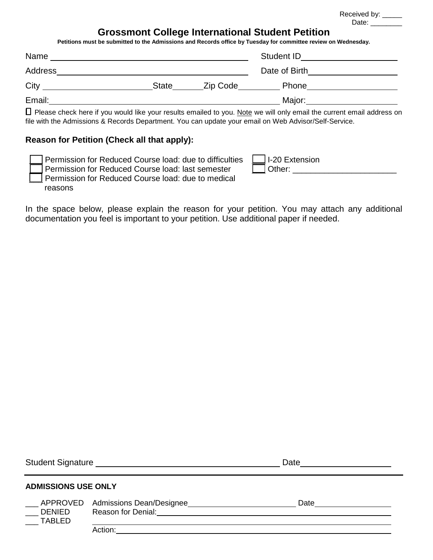|         |                                                                         |       |                        | Received by: _____<br>Date:                                                                                                                                               |
|---------|-------------------------------------------------------------------------|-------|------------------------|---------------------------------------------------------------------------------------------------------------------------------------------------------------------------|
|         |                                                                         |       |                        | <b>Grossmont College International Student Petition</b><br>Petitions must be submitted to the Admissions and Records office by Tuesday for committee review on Wednesday. |
| Name    | <u> 1989 - Johann Barn, fransk politik amerikansk politik (d. 1989)</u> |       |                        | Student ID <u>______________</u>                                                                                                                                          |
| Address |                                                                         |       |                        | Date of Birth <u>contract the set of Birth contract of</u>                                                                                                                |
|         |                                                                         | State | Zip Code <b>Carlos</b> |                                                                                                                                                                           |
| Email:  |                                                                         |       |                        | Major:                                                                                                                                                                    |

□ Please check here if you would like your results emailed to you. Note we will only email the current email address on file with the Admissions & Records Department. You can update your email on Web Advisor/Self-Service.

## **Reason for Petition (Check all that apply):**

| Permission for Reduced Course load: due to difficulties | <b>JI-20 Extension</b> |
|---------------------------------------------------------|------------------------|
| Permission for Reduced Course load: last semester       | .Other:                |
| Permission for Reduced Course load: due to medical      |                        |
| reasons                                                 |                        |

In the space below, please explain the reason for your petition. You may attach any additional documentation you feel is important to your petition. Use additional paper if needed.

|                            | Student Signature Management Control of Student Signature                   | Date |  |
|----------------------------|-----------------------------------------------------------------------------|------|--|
| <b>ADMISSIONS USE ONLY</b> |                                                                             |      |  |
| <b>DENIED</b><br>TABLED    | APPROVED Admissions Dean/Designee<br>Reason for Denial: <b>Example 2018</b> | Date |  |
|                            | Action:                                                                     |      |  |